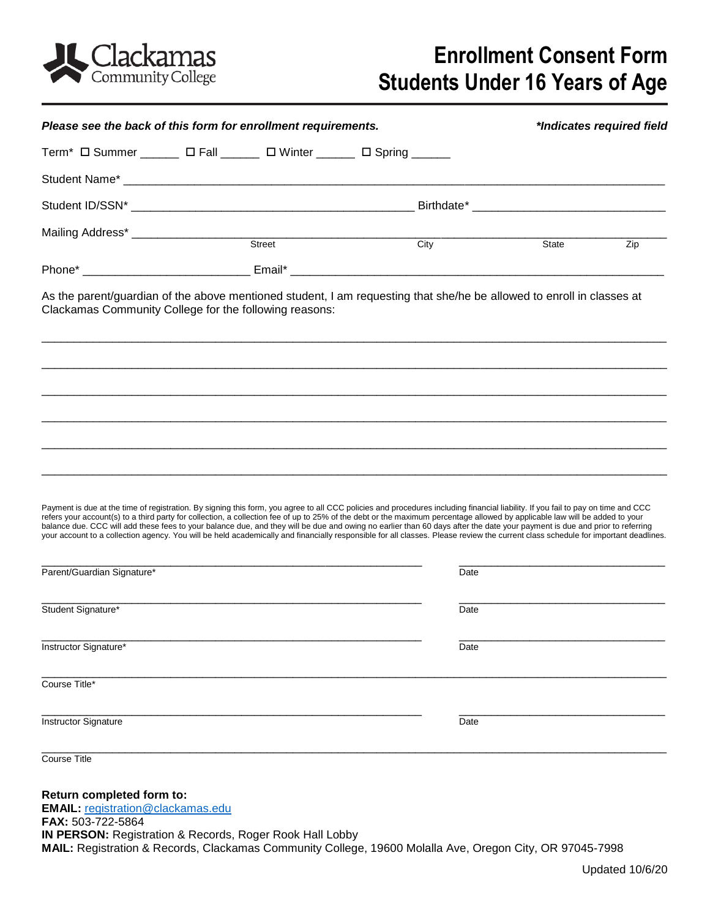

## **Enrollment Consent Form Students Under 16 Years of Age**

| Please see the back of this form for enrollment requirements.                                                                                                                                                                                                                                                                                                                                                                                                                                                                                                                                                                                                                                                                                                    |        | *Indicates required field |       |     |
|------------------------------------------------------------------------------------------------------------------------------------------------------------------------------------------------------------------------------------------------------------------------------------------------------------------------------------------------------------------------------------------------------------------------------------------------------------------------------------------------------------------------------------------------------------------------------------------------------------------------------------------------------------------------------------------------------------------------------------------------------------------|--------|---------------------------|-------|-----|
| Term <sup>*</sup> $\Box$ Summer _______ $\Box$ Fall ______ $\Box$ Winter ______ $\Box$ Spring _____                                                                                                                                                                                                                                                                                                                                                                                                                                                                                                                                                                                                                                                              |        |                           |       |     |
|                                                                                                                                                                                                                                                                                                                                                                                                                                                                                                                                                                                                                                                                                                                                                                  |        |                           |       |     |
|                                                                                                                                                                                                                                                                                                                                                                                                                                                                                                                                                                                                                                                                                                                                                                  |        |                           |       |     |
|                                                                                                                                                                                                                                                                                                                                                                                                                                                                                                                                                                                                                                                                                                                                                                  |        |                           |       |     |
|                                                                                                                                                                                                                                                                                                                                                                                                                                                                                                                                                                                                                                                                                                                                                                  | Street | City                      | State | Zip |
|                                                                                                                                                                                                                                                                                                                                                                                                                                                                                                                                                                                                                                                                                                                                                                  |        |                           |       |     |
| As the parent/guardian of the above mentioned student, I am requesting that she/he be allowed to enroll in classes at<br>Clackamas Community College for the following reasons:                                                                                                                                                                                                                                                                                                                                                                                                                                                                                                                                                                                  |        |                           |       |     |
| Payment is due at the time of registration. By signing this form, you agree to all CCC policies and procedures including financial liability. If you fail to pay on time and CCC<br>refers your account(s) to a third party for collection, a collection fee of up to 25% of the debt or the maximum percentage allowed by applicable law will be added to your<br>balance due. CCC will add these fees to your balance due, and they will be due and owing no earlier than 60 days after the date your payment is due and prior to referring<br>your account to a collection agency. You will be held academically and financially responsible for all classes. Please review the current class schedule for important deadlines.<br>Parent/Guardian Signature* |        |                           | Date  |     |
| Student Signature*                                                                                                                                                                                                                                                                                                                                                                                                                                                                                                                                                                                                                                                                                                                                               |        |                           |       |     |
|                                                                                                                                                                                                                                                                                                                                                                                                                                                                                                                                                                                                                                                                                                                                                                  |        |                           | Date  |     |
| Instructor Signature*                                                                                                                                                                                                                                                                                                                                                                                                                                                                                                                                                                                                                                                                                                                                            |        |                           | Date  |     |
| Course Title*                                                                                                                                                                                                                                                                                                                                                                                                                                                                                                                                                                                                                                                                                                                                                    |        |                           |       |     |
| Instructor Signature                                                                                                                                                                                                                                                                                                                                                                                                                                                                                                                                                                                                                                                                                                                                             |        |                           | Date  |     |
| Course Title                                                                                                                                                                                                                                                                                                                                                                                                                                                                                                                                                                                                                                                                                                                                                     |        |                           |       |     |
| Return completed form to:<br><b>EMAIL:</b> registration@clackamas.edu<br>FAX: 503-722-5864<br>IN PERSON: Registration & Records, Roger Rook Hall Lobby<br>MAIL: Registration & Records, Clackamas Community College, 19600 Molalla Ave, Oregon City, OR 97045-7998                                                                                                                                                                                                                                                                                                                                                                                                                                                                                               |        |                           |       |     |